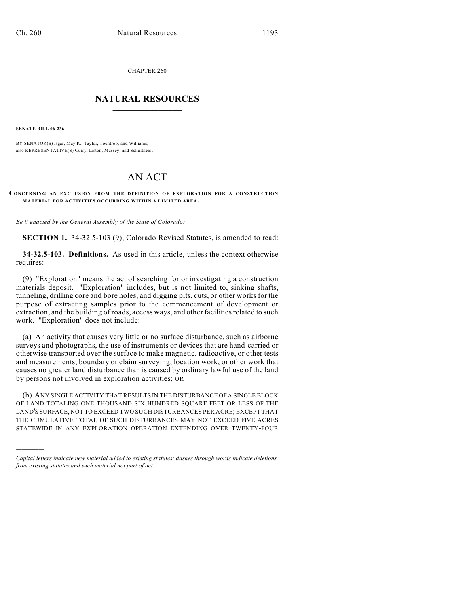CHAPTER 260

## $\overline{\phantom{a}}$  . The set of the set of the set of the set of the set of the set of the set of the set of the set of the set of the set of the set of the set of the set of the set of the set of the set of the set of the set o **NATURAL RESOURCES**  $\frac{1}{\sqrt{2}}$  , where  $\frac{1}{\sqrt{2}}$  ,  $\frac{1}{\sqrt{2}}$  ,  $\frac{1}{\sqrt{2}}$

**SENATE BILL 06-236**

)))))

BY SENATOR(S) Isgar, May R., Taylor, Tochtrop, and Williams; also REPRESENTATIVE(S) Curry, Liston, Massey, and Schultheis.

## AN ACT

## **CONCERNING AN EXCLUSION FROM THE DEFINITION OF EXPLORATION FOR A CONSTRUCTION MATERIAL FOR ACTIVITIES OCCURRING WITHIN A LIMITED AREA.**

*Be it enacted by the General Assembly of the State of Colorado:*

**SECTION 1.** 34-32.5-103 (9), Colorado Revised Statutes, is amended to read:

**34-32.5-103. Definitions.** As used in this article, unless the context otherwise requires:

(9) "Exploration" means the act of searching for or investigating a construction materials deposit. "Exploration" includes, but is not limited to, sinking shafts, tunneling, drilling core and bore holes, and digging pits, cuts, or other works for the purpose of extracting samples prior to the commencement of development or extraction, and the building of roads, access ways, and other facilities related to such work. "Exploration" does not include:

(a) An activity that causes very little or no surface disturbance, such as airborne surveys and photographs, the use of instruments or devices that are hand-carried or otherwise transported over the surface to make magnetic, radioactive, or other tests and measurements, boundary or claim surveying, location work, or other work that causes no greater land disturbance than is caused by ordinary lawful use of the land by persons not involved in exploration activities; OR

(b) ANY SINGLE ACTIVITY THAT RESULTS IN THE DISTURBANCE OF A SINGLE BLOCK OF LAND TOTALING ONE THOUSAND SIX HUNDRED SQUARE FEET OR LESS OF THE LAND'S SURFACE, NOT TO EXCEED TWO SUCH DISTURBANCES PER ACRE; EXCEPT THAT THE CUMULATIVE TOTAL OF SUCH DISTURBANCES MAY NOT EXCEED FIVE ACRES STATEWIDE IN ANY EXPLORATION OPERATION EXTENDING OVER TWENTY-FOUR

*Capital letters indicate new material added to existing statutes; dashes through words indicate deletions from existing statutes and such material not part of act.*